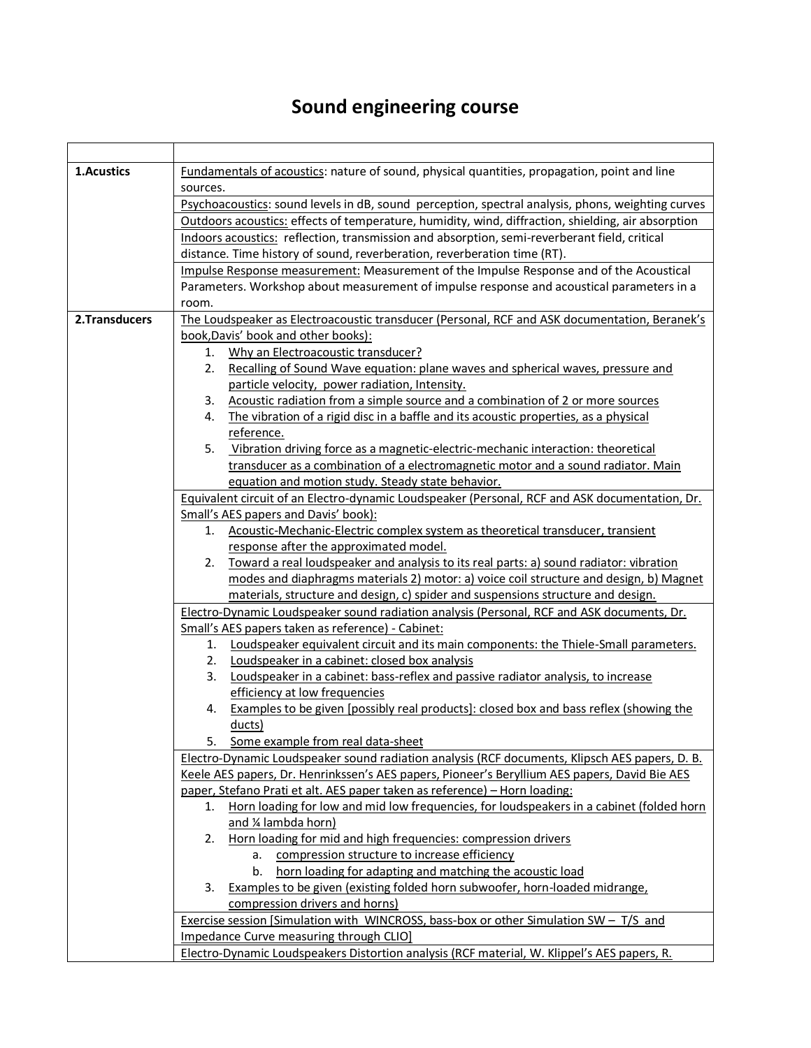## **Sound engineering course**

| 1.Acustics    | Fundamentals of acoustics: nature of sound, physical quantities, propagation, point and line       |
|---------------|----------------------------------------------------------------------------------------------------|
|               | sources.                                                                                           |
|               | Psychoacoustics: sound levels in dB, sound perception, spectral analysis, phons, weighting curves  |
|               | Outdoors acoustics: effects of temperature, humidity, wind, diffraction, shielding, air absorption |
|               | Indoors acoustics: reflection, transmission and absorption, semi-reverberant field, critical       |
|               | distance. Time history of sound, reverberation, reverberation time (RT).                           |
|               | Impulse Response measurement: Measurement of the Impulse Response and of the Acoustical            |
|               | Parameters. Workshop about measurement of impulse response and acoustical parameters in a          |
|               | room.                                                                                              |
| 2.Transducers | The Loudspeaker as Electroacoustic transducer (Personal, RCF and ASK documentation, Beranek's      |
|               | book, Davis' book and other books):                                                                |
|               | Why an Electroacoustic transducer?<br>1.                                                           |
|               | Recalling of Sound Wave equation: plane waves and spherical waves, pressure and<br>2.              |
|               | particle velocity, power radiation, Intensity.                                                     |
|               | Acoustic radiation from a simple source and a combination of 2 or more sources<br>3.               |
|               | The vibration of a rigid disc in a baffle and its acoustic properties, as a physical<br>4.         |
|               | reference.                                                                                         |
|               | Vibration driving force as a magnetic-electric-mechanic interaction: theoretical<br>5.             |
|               | transducer as a combination of a electromagnetic motor and a sound radiator. Main                  |
|               | equation and motion study. Steady state behavior.                                                  |
|               | Equivalent circuit of an Electro-dynamic Loudspeaker (Personal, RCF and ASK documentation, Dr.     |
|               | Small's AES papers and Davis' book):                                                               |
|               | Acoustic-Mechanic-Electric complex system as theoretical transducer, transient<br>1.               |
|               | response after the approximated model.                                                             |
|               | Toward a real loudspeaker and analysis to its real parts: a) sound radiator: vibration<br>2.       |
|               | modes and diaphragms materials 2) motor: a) voice coil structure and design, b) Magnet             |
|               | materials, structure and design, c) spider and suspensions structure and design.                   |
|               | Electro-Dynamic Loudspeaker sound radiation analysis (Personal, RCF and ASK documents, Dr.         |
|               | Small's AES papers taken as reference) - Cabinet:                                                  |
|               | 1. Loudspeaker equivalent circuit and its main components: the Thiele-Small parameters.            |
|               | 2. Loudspeaker in a cabinet: closed box analysis                                                   |
|               | Loudspeaker in a cabinet: bass-reflex and passive radiator analysis, to increase<br>3.             |
|               | efficiency at low frequencies                                                                      |
|               | 4. Examples to be given [possibly real products]: closed box and bass reflex (showing the          |
|               | ducts)                                                                                             |
|               | Some example from real data-sheet<br>5.                                                            |
|               | Electro-Dynamic Loudspeaker sound radiation analysis (RCF documents, Klipsch AES papers, D. B.     |
|               | Keele AES papers, Dr. Henrinkssen's AES papers, Pioneer's Beryllium AES papers, David Bie AES      |
|               | paper, Stefano Prati et alt. AES paper taken as reference) - Horn loading:                         |
|               | Horn loading for low and mid low frequencies, for loudspeakers in a cabinet (folded horn<br>1.     |
|               | and ¼ lambda horn)                                                                                 |
|               | Horn loading for mid and high frequencies: compression drivers<br>2.                               |
|               | compression structure to increase efficiency<br>а.                                                 |
|               | horn loading for adapting and matching the acoustic load<br>b.                                     |
|               | Examples to be given (existing folded horn subwoofer, horn-loaded midrange,<br>3.                  |
|               | compression drivers and horns)                                                                     |
|               | Exercise session [Simulation with WINCROSS, bass-box or other Simulation SW - T/S and              |
|               | Impedance Curve measuring through CLIO]                                                            |
|               | Electro-Dynamic Loudspeakers Distortion analysis (RCF material, W. Klippel's AES papers, R.        |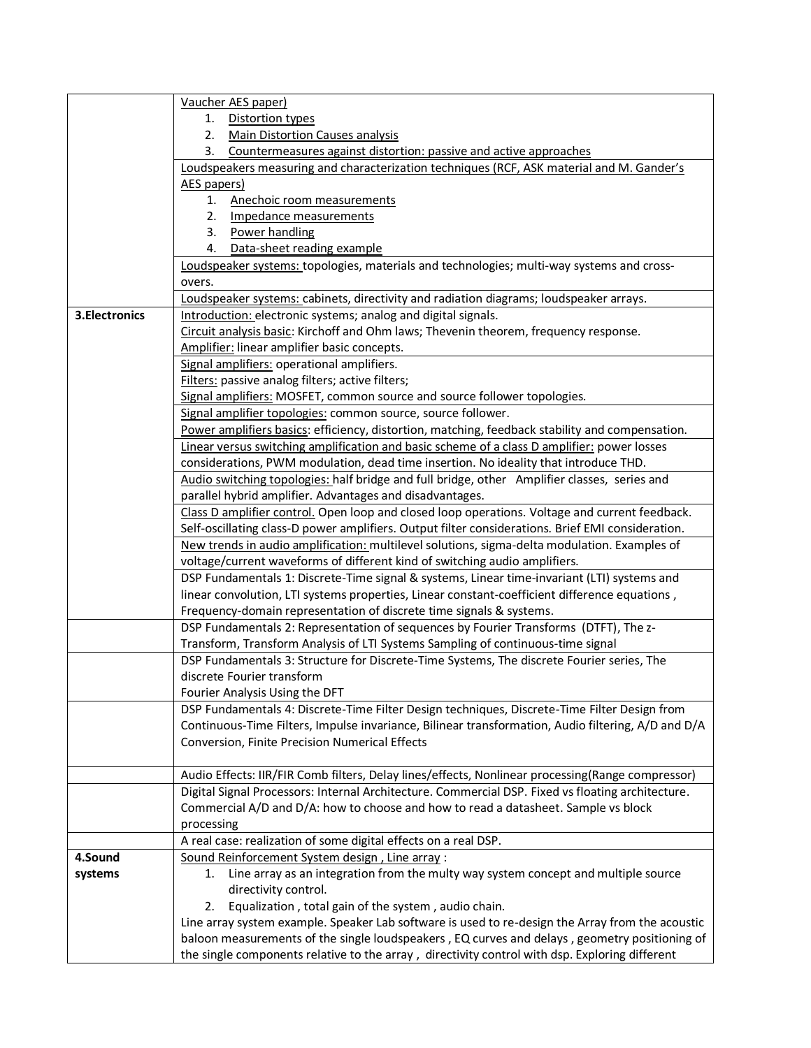|                | Vaucher AES paper)                                                                                                                                                                  |
|----------------|-------------------------------------------------------------------------------------------------------------------------------------------------------------------------------------|
|                | <b>Distortion types</b><br>1.                                                                                                                                                       |
|                | 2.<br>Main Distortion Causes analysis                                                                                                                                               |
|                | 3.<br>Countermeasures against distortion: passive and active approaches                                                                                                             |
|                | Loudspeakers measuring and characterization techniques (RCF, ASK material and M. Gander's                                                                                           |
|                | AES papers)                                                                                                                                                                         |
|                | 1.<br>Anechoic room measurements                                                                                                                                                    |
|                | 2.<br>Impedance measurements                                                                                                                                                        |
|                | 3.<br>Power handling                                                                                                                                                                |
|                | Data-sheet reading example<br>4.                                                                                                                                                    |
|                | Loudspeaker systems: topologies, materials and technologies; multi-way systems and cross-                                                                                           |
|                | overs.                                                                                                                                                                              |
|                | Loudspeaker systems: cabinets, directivity and radiation diagrams; loudspeaker arrays.                                                                                              |
| 3. Electronics | Introduction: electronic systems; analog and digital signals.                                                                                                                       |
|                | Circuit analysis basic: Kirchoff and Ohm laws; Thevenin theorem, frequency response.                                                                                                |
|                | Amplifier: linear amplifier basic concepts.                                                                                                                                         |
|                | Signal amplifiers: operational amplifiers.                                                                                                                                          |
|                | Filters: passive analog filters; active filters;                                                                                                                                    |
|                | Signal amplifiers: MOSFET, common source and source follower topologies.                                                                                                            |
|                | Signal amplifier topologies: common source, source follower.                                                                                                                        |
|                | Power amplifiers basics: efficiency, distortion, matching, feedback stability and compensation.                                                                                     |
|                | Linear versus switching amplification and basic scheme of a class D amplifier: power losses<br>considerations, PWM modulation, dead time insertion. No ideality that introduce THD. |
|                | Audio switching topologies: half bridge and full bridge, other Amplifier classes, series and                                                                                        |
|                | parallel hybrid amplifier. Advantages and disadvantages.                                                                                                                            |
|                | Class D amplifier control. Open loop and closed loop operations. Voltage and current feedback.                                                                                      |
|                | Self-oscillating class-D power amplifiers. Output filter considerations. Brief EMI consideration.                                                                                   |
|                | New trends in audio amplification: multilevel solutions, sigma-delta modulation. Examples of                                                                                        |
|                | voltage/current waveforms of different kind of switching audio amplifiers.                                                                                                          |
|                | DSP Fundamentals 1: Discrete-Time signal & systems, Linear time-invariant (LTI) systems and                                                                                         |
|                | linear convolution, LTI systems properties, Linear constant-coefficient difference equations,                                                                                       |
|                | Frequency-domain representation of discrete time signals & systems.                                                                                                                 |
|                | DSP Fundamentals 2: Representation of sequences by Fourier Transforms (DTFT), The z-                                                                                                |
|                | Transform, Transform Analysis of LTI Systems Sampling of continuous-time signal                                                                                                     |
|                | DSP Fundamentals 3: Structure for Discrete-Time Systems, The discrete Fourier series, The                                                                                           |
|                | discrete Fourier transform                                                                                                                                                          |
|                | Fourier Analysis Using the DFT                                                                                                                                                      |
|                | DSP Fundamentals 4: Discrete-Time Filter Design techniques, Discrete-Time Filter Design from                                                                                        |
|                | Continuous-Time Filters, Impulse invariance, Bilinear transformation, Audio filtering, A/D and D/A                                                                                  |
|                | Conversion, Finite Precision Numerical Effects                                                                                                                                      |
|                |                                                                                                                                                                                     |
|                | Audio Effects: IIR/FIR Comb filters, Delay lines/effects, Nonlinear processing(Range compressor)                                                                                    |
|                | Digital Signal Processors: Internal Architecture. Commercial DSP. Fixed vs floating architecture.                                                                                   |
|                | Commercial A/D and D/A: how to choose and how to read a datasheet. Sample vs block                                                                                                  |
|                | processing                                                                                                                                                                          |
|                | A real case: realization of some digital effects on a real DSP.                                                                                                                     |
| 4.Sound        | Sound Reinforcement System design, Line array :<br>Line array as an integration from the multy way system concept and multiple source                                               |
| systems        | 1.<br>directivity control.                                                                                                                                                          |
|                | Equalization, total gain of the system, audio chain.<br>2.                                                                                                                          |
|                | Line array system example. Speaker Lab software is used to re-design the Array from the acoustic                                                                                    |
|                | baloon measurements of the single loudspeakers, EQ curves and delays, geometry positioning of                                                                                       |
|                | the single components relative to the array, directivity control with dsp. Exploring different                                                                                      |
|                |                                                                                                                                                                                     |